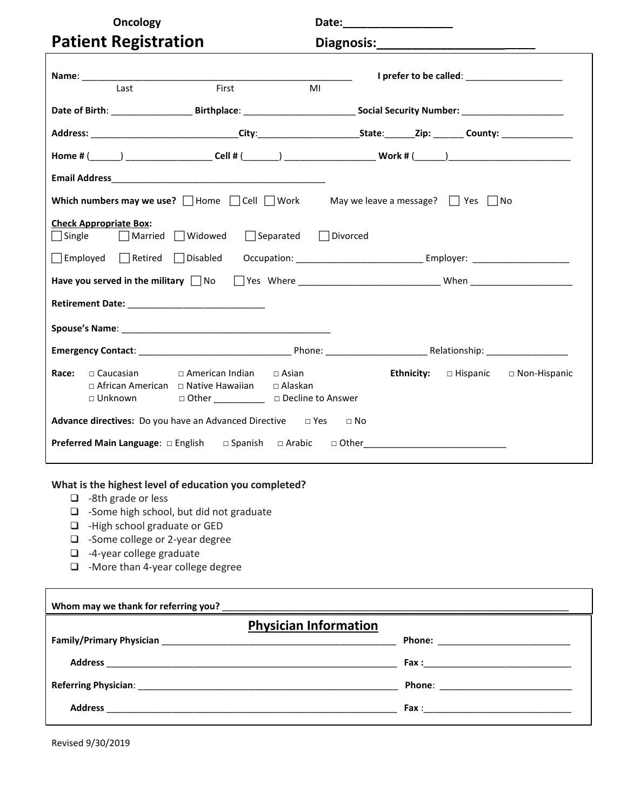| <b>Oncology</b>                          |                                                                                                                                                  |                                  | Date:________________________ |  |                                                |
|------------------------------------------|--------------------------------------------------------------------------------------------------------------------------------------------------|----------------------------------|-------------------------------|--|------------------------------------------------|
| <b>Patient Registration</b>              |                                                                                                                                                  |                                  |                               |  |                                                |
| Last                                     | First                                                                                                                                            | MI                               |                               |  |                                                |
|                                          | Date of Birth: _________________________Birthplace: _________________________________Social Security Number: __________________________          |                                  |                               |  |                                                |
|                                          |                                                                                                                                                  |                                  |                               |  |                                                |
|                                          |                                                                                                                                                  |                                  |                               |  |                                                |
|                                          |                                                                                                                                                  |                                  |                               |  |                                                |
|                                          | Which numbers may we use? $\Box$ Home $\Box$ Cell $\Box$ Work May we leave a message? $\Box$ Yes $\Box$ No                                       |                                  |                               |  |                                                |
| <b>Check Appropriate Box:</b>            | $\Box$ Single $\Box$ Married $\Box$ Widowed                                                                                                      | $\Box$ Separated $\Box$ Divorced |                               |  |                                                |
|                                          |                                                                                                                                                  |                                  |                               |  |                                                |
|                                          | Have you served in the military Mo Mo Stess Where _______________________________ When _______________________                                   |                                  |                               |  |                                                |
|                                          |                                                                                                                                                  |                                  |                               |  |                                                |
|                                          |                                                                                                                                                  |                                  |                               |  |                                                |
|                                          |                                                                                                                                                  |                                  |                               |  |                                                |
| $\sqcap$ Caucasian<br>Race:<br>□ Unknown | $\Box$ American Indian $\Box$ Asian<br>$\Box$ African American $\Box$ Native Hawaiian $\Box$ Alaskan<br>□ Other ____________ □ Decline to Answer |                                  |                               |  | Ethnicity: $\Box$ Hispanic $\Box$ Non-Hispanic |
|                                          | <b>Advance directives:</b> Do you have an Advanced Directive $\Box$ Yes $\Box$ No                                                                |                                  |                               |  |                                                |
|                                          |                                                                                                                                                  |                                  |                               |  |                                                |

#### **What is the highest level of education you completed?**

- -8th grade or less
- -Some high school, but did not graduate
- □ -High school graduate or GED
- -Some college or 2-year degree
- -4-year college graduate
- -More than 4-year college degree

| Whom may we thank for referring you?<br><u> </u> |  |
|--------------------------------------------------|--|
| <b>Physician Information</b>                     |  |
|                                                  |  |
|                                                  |  |
|                                                  |  |
|                                                  |  |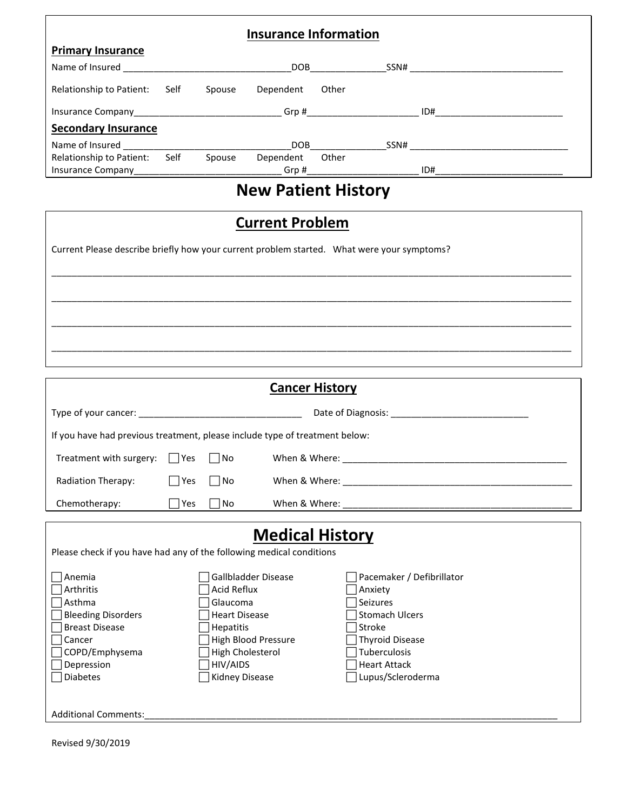|                                                                                             |     |                      | <b>Insurance Information</b>                  |                       |                                      |  |
|---------------------------------------------------------------------------------------------|-----|----------------------|-----------------------------------------------|-----------------------|--------------------------------------|--|
| <b>Primary Insurance</b>                                                                    |     |                      |                                               |                       |                                      |  |
|                                                                                             |     |                      |                                               |                       |                                      |  |
|                                                                                             |     |                      |                                               |                       |                                      |  |
| Relationship to Patient: Self                                                               |     |                      | Spouse Dependent Other                        |                       |                                      |  |
|                                                                                             |     |                      |                                               |                       |                                      |  |
| <b>Secondary Insurance</b>                                                                  |     |                      |                                               |                       |                                      |  |
|                                                                                             |     |                      |                                               |                       |                                      |  |
| Relationship to Patient: Self                                                               |     |                      | Spouse Dependent Other                        |                       |                                      |  |
|                                                                                             |     |                      |                                               |                       |                                      |  |
|                                                                                             |     |                      | <b>New Patient History</b>                    |                       |                                      |  |
| Current Please describe briefly how your current problem started. What were your symptoms?  |     |                      | <b>Current Problem</b>                        |                       |                                      |  |
| If you have had previous treatment, please include type of treatment below:                 |     |                      |                                               | <b>Cancer History</b> |                                      |  |
| Treatment with surgery: $\Box$ Yes $\Box$ No                                                |     |                      |                                               |                       |                                      |  |
| Radiation Therapy:                                                                          | Yes | No                   |                                               |                       |                                      |  |
| Chemotherapy:                                                                               | Yes | No                   | When & Where:                                 |                       |                                      |  |
| Please check if you have had any of the following medical conditions<br>Anemia<br>Arthritis |     | Acid Reflux          | <b>Medical History</b><br>Gallbladder Disease |                       | Pacemaker / Defibrillator<br>Anxiety |  |
| Asthma                                                                                      |     | Glaucoma             |                                               |                       | Seizures                             |  |
| <b>Bleeding Disorders</b>                                                                   |     | <b>Heart Disease</b> |                                               |                       | <b>Stomach Ulcers</b>                |  |
| <b>Breast Disease</b>                                                                       |     | Hepatitis            |                                               |                       | Stroke                               |  |
| Cancer                                                                                      |     |                      | High Blood Pressure                           |                       | <b>Thyroid Disease</b>               |  |
| COPD/Emphysema                                                                              |     | High Cholesterol     |                                               |                       | Tuberculosis                         |  |
| Depression                                                                                  |     | HIV/AIDS             |                                               |                       | <b>Heart Attack</b>                  |  |
| <b>Diabetes</b>                                                                             |     | Kidney Disease       |                                               |                       | Lupus/Scleroderma                    |  |
| Additional Comments:                                                                        |     |                      |                                               |                       |                                      |  |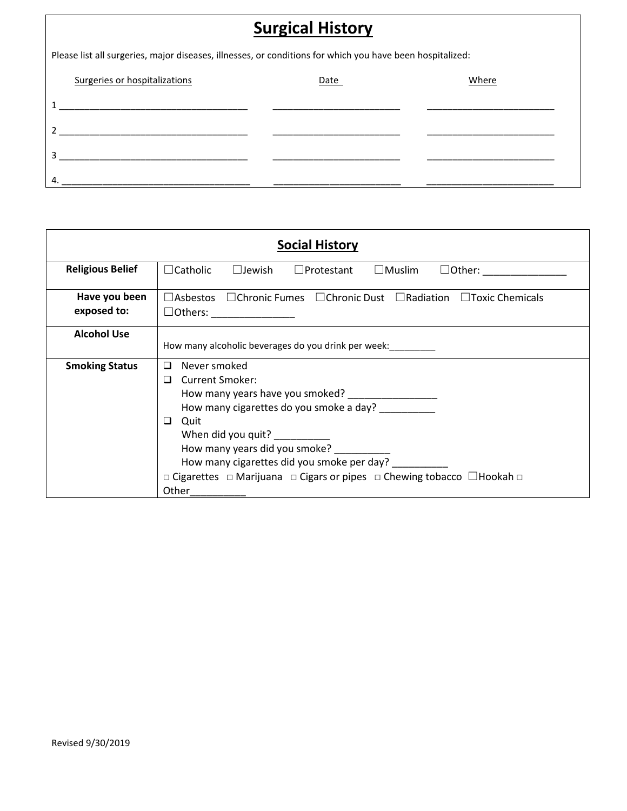| <b>Surgical History</b>                                                                                   |      |       |  |  |  |
|-----------------------------------------------------------------------------------------------------------|------|-------|--|--|--|
| Please list all surgeries, major diseases, illnesses, or conditions for which you have been hospitalized: |      |       |  |  |  |
| Surgeries or hospitalizations                                                                             | Date | Where |  |  |  |
|                                                                                                           |      |       |  |  |  |
| <u> 1989 - John Stein, Amerikaansk politiker (* 1908)</u>                                                 |      |       |  |  |  |
|                                                                                                           |      |       |  |  |  |
| 4.                                                                                                        |      |       |  |  |  |

|                              | <b>Social History</b>                                                                                                                                                                                                                                                                                             |
|------------------------------|-------------------------------------------------------------------------------------------------------------------------------------------------------------------------------------------------------------------------------------------------------------------------------------------------------------------|
| <b>Religious Belief</b>      | $\Box$ Catholic $\Box$ Jewish<br>$\Box$ Protestant $\Box$ Muslim<br>$\Box$ Other: $\Box$                                                                                                                                                                                                                          |
| Have you been<br>exposed to: | $\Box$ Asbestos $\Box$ Chronic Fumes $\Box$ Chronic Dust $\Box$ Radiation $\Box$ Toxic Chemicals                                                                                                                                                                                                                  |
| <b>Alcohol Use</b>           | How many alcoholic beverages do you drink per week:                                                                                                                                                                                                                                                               |
| <b>Smoking Status</b>        | Never smoked<br>$\Box$<br><b>Current Smoker:</b><br>◻<br>How many cigarettes do you smoke a day?<br>Quit<br>□<br>When did you quit? __________<br>How many years did you smoke?<br>How many cigarettes did you smoke per day?<br>□ Cigarettes □ Marijuana □ Cigars or pipes □ Chewing tobacco □ Hookah □<br>Other |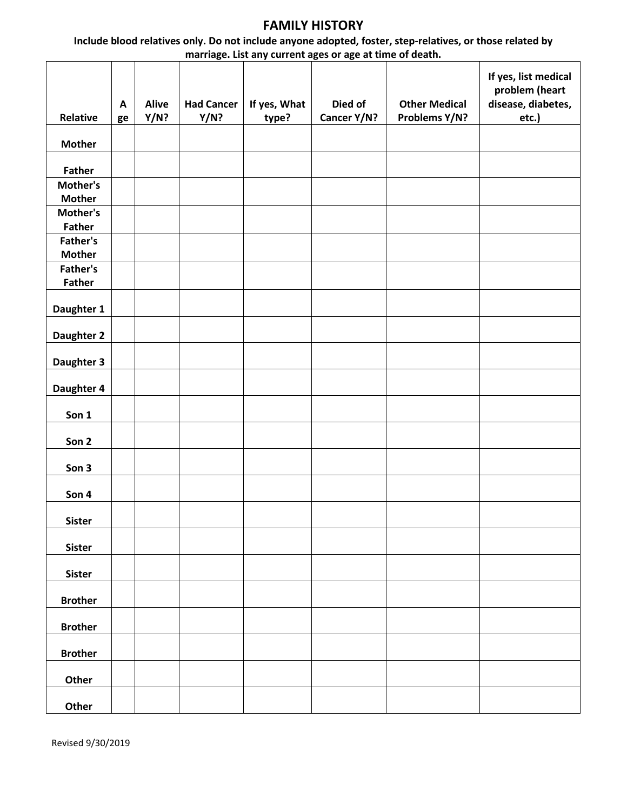### **FAMILY HISTORY**

**Include blood relatives only. Do not include anyone adopted, foster, step-relatives, or those related by marriage. List any current ages or age at time of death.**

| Relative                  | A<br>ge | <b>Alive</b><br>Y/N? | <b>Had Cancer</b><br>Y/N? | If yes, What<br>type? | Died of<br>Cancer Y/N? | <b>Other Medical</b><br>Problems Y/N? | If yes, list medical<br>problem (heart<br>disease, diabetes,<br>etc.) |
|---------------------------|---------|----------------------|---------------------------|-----------------------|------------------------|---------------------------------------|-----------------------------------------------------------------------|
| <b>Mother</b>             |         |                      |                           |                       |                        |                                       |                                                                       |
| <b>Father</b>             |         |                      |                           |                       |                        |                                       |                                                                       |
| Mother's                  |         |                      |                           |                       |                        |                                       |                                                                       |
| <b>Mother</b>             |         |                      |                           |                       |                        |                                       |                                                                       |
| Mother's                  |         |                      |                           |                       |                        |                                       |                                                                       |
| <b>Father</b>             |         |                      |                           |                       |                        |                                       |                                                                       |
| Father's                  |         |                      |                           |                       |                        |                                       |                                                                       |
| <b>Mother</b><br>Father's |         |                      |                           |                       |                        |                                       |                                                                       |
| <b>Father</b>             |         |                      |                           |                       |                        |                                       |                                                                       |
|                           |         |                      |                           |                       |                        |                                       |                                                                       |
| Daughter 1                |         |                      |                           |                       |                        |                                       |                                                                       |
| Daughter 2                |         |                      |                           |                       |                        |                                       |                                                                       |
| Daughter 3                |         |                      |                           |                       |                        |                                       |                                                                       |
| Daughter 4                |         |                      |                           |                       |                        |                                       |                                                                       |
| Son 1                     |         |                      |                           |                       |                        |                                       |                                                                       |
| Son 2                     |         |                      |                           |                       |                        |                                       |                                                                       |
| Son 3                     |         |                      |                           |                       |                        |                                       |                                                                       |
| Son 4                     |         |                      |                           |                       |                        |                                       |                                                                       |
| <b>Sister</b>             |         |                      |                           |                       |                        |                                       |                                                                       |
| <b>Sister</b>             |         |                      |                           |                       |                        |                                       |                                                                       |
| <b>Sister</b>             |         |                      |                           |                       |                        |                                       |                                                                       |
| <b>Brother</b>            |         |                      |                           |                       |                        |                                       |                                                                       |
| <b>Brother</b>            |         |                      |                           |                       |                        |                                       |                                                                       |
| <b>Brother</b>            |         |                      |                           |                       |                        |                                       |                                                                       |
| Other                     |         |                      |                           |                       |                        |                                       |                                                                       |
| Other                     |         |                      |                           |                       |                        |                                       |                                                                       |

Revised 9/30/2019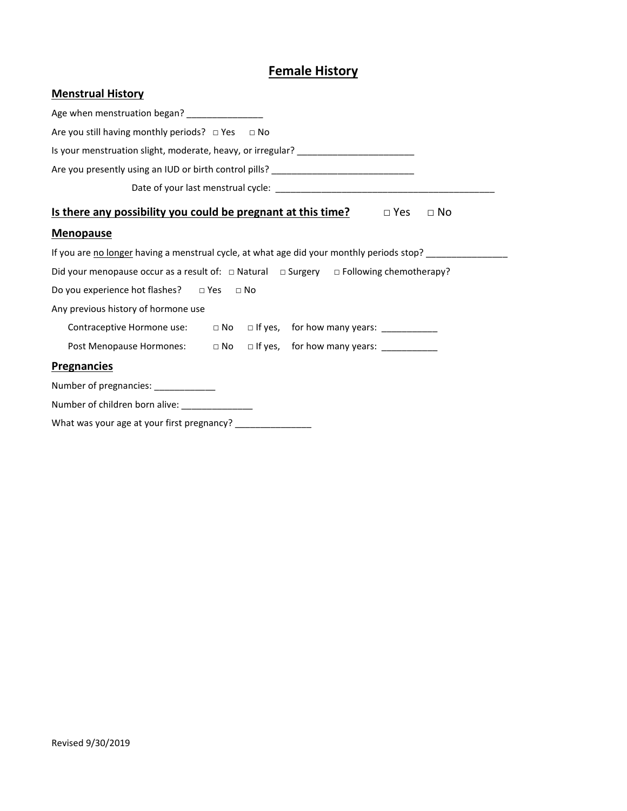## **Female History**

| Age when menstruation began? _______________                                                          |
|-------------------------------------------------------------------------------------------------------|
| Are you still having monthly periods? □ Yes □ No                                                      |
| Is your menstruation slight, moderate, heavy, or irregular? ____________________                      |
| Are you presently using an IUD or birth control pills? __________________________                     |
|                                                                                                       |
| Is there any possibility you could be pregnant at this time? $\Box$ Yes<br>$\Box$ No                  |
| <b>Menopause</b>                                                                                      |
| If you are no longer having a menstrual cycle, at what age did your monthly periods stop? _________   |
| Did your menopause occur as a result of: $\Box$ Natural $\Box$ Surgery $\Box$ Following chemotherapy? |
| Do you experience hot flashes? $\Box$ Yes $\Box$ No                                                   |
| Any previous history of hormone use                                                                   |
| Contraceptive Hormone use: □ No □ If yes, for how many years: ____________                            |
| Post Menopause Hormones: a No alf yes, for how many years: _____________________                      |
| <b>Pregnancies</b>                                                                                    |
| Number of pregnancies: ____________                                                                   |
| Number of children born alive: _______________                                                        |
| What was your age at your first pregnancy? _________________                                          |

**Menstrual History**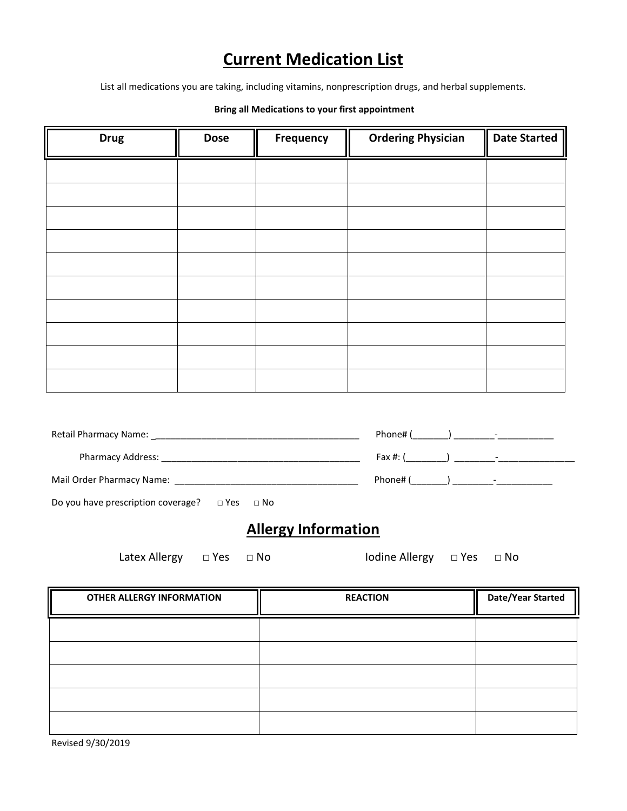# **Current Medication List**

List all medications you are taking, including vitamins, nonprescription drugs, and herbal supplements.

#### **Bring all Medications to your first appointment**

| <b>Drug</b> | <b>Dose</b> | Frequency | <b>Ordering Physician</b> | <b>Date Started</b> |
|-------------|-------------|-----------|---------------------------|---------------------|
|             |             |           |                           |                     |
|             |             |           |                           |                     |
|             |             |           |                           |                     |
|             |             |           |                           |                     |
|             |             |           |                           |                     |
|             |             |           |                           |                     |
|             |             |           |                           |                     |
|             |             |           |                           |                     |
|             |             |           |                           |                     |
|             |             |           |                           |                     |

| Retail Pharmacy Name:     | Phone#     | $\overline{\phantom{0}}$ |
|---------------------------|------------|--------------------------|
| <b>Pharmacy Address:</b>  | Fax $#: ($ | $\overline{\phantom{0}}$ |
| Mail Order Pharmacy Name: | Phone#     | $\overline{\phantom{0}}$ |

| Do you have prescription coverage? | $\Box$ Yes $\Box$ No |  |
|------------------------------------|----------------------|--|
|------------------------------------|----------------------|--|

# **Allergy Information**

Latex Allergy □ Yes □ No Iodine Allergy □ Yes □ No

| <b>OTHER ALLERGY INFORMATION</b> | <b>REACTION</b> | <b>Date/Year Started</b> |
|----------------------------------|-----------------|--------------------------|
|                                  |                 |                          |
|                                  |                 |                          |
|                                  |                 |                          |
|                                  |                 |                          |
|                                  |                 |                          |

Revised 9/30/2019